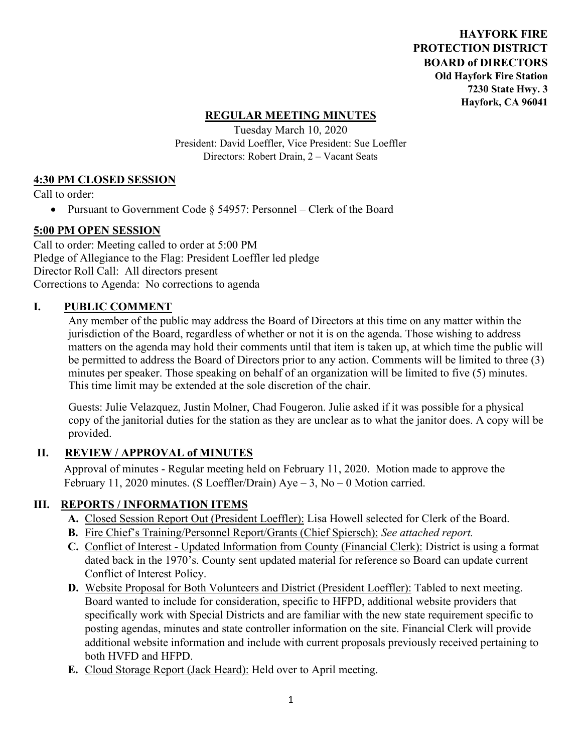**HAYFORK FIRE PROTECTION DISTRICT BOARD of DIRECTORS Old Hayfork Fire Station 7230 State Hwy. 3 Hayfork, CA 96041** 

### **REGULAR MEETING MINUTES**

Tuesday March 10, 2020 President: David Loeffler, Vice President: Sue Loeffler Directors: Robert Drain, 2 – Vacant Seats

#### **4:30 PM CLOSED SESSION**

Call to order:

• Pursuant to Government Code § 54957: Personnel – Clerk of the Board

### **5:00 PM OPEN SESSION**

Call to order: Meeting called to order at 5:00 PM Pledge of Allegiance to the Flag: President Loeffler led pledge Director Roll Call: All directors present Corrections to Agenda: No corrections to agenda

#### **I. PUBLIC COMMENT**

Any member of the public may address the Board of Directors at this time on any matter within the jurisdiction of the Board, regardless of whether or not it is on the agenda. Those wishing to address matters on the agenda may hold their comments until that item is taken up, at which time the public will be permitted to address the Board of Directors prior to any action. Comments will be limited to three (3) minutes per speaker. Those speaking on behalf of an organization will be limited to five (5) minutes. This time limit may be extended at the sole discretion of the chair.

Guests: Julie Velazquez, Justin Molner, Chad Fougeron. Julie asked if it was possible for a physical copy of the janitorial duties for the station as they are unclear as to what the janitor does. A copy will be provided.

### **II. REVIEW / APPROVAL of MINUTES**

 Approval of minutes - Regular meeting held on February 11, 2020. Motion made to approve the February 11, 2020 minutes. (S Loeffler/Drain)  $Aye - 3$ , No – 0 Motion carried.

### **III. REPORTS / INFORMATION ITEMS**

- **A.** Closed Session Report Out (President Loeffler): Lisa Howell selected for Clerk of the Board.
- **B.** Fire Chief's Training/Personnel Report/Grants (Chief Spiersch): *See attached report.*
- **C.** Conflict of Interest Updated Information from County (Financial Clerk): District is using a format dated back in the 1970's. County sent updated material for reference so Board can update current Conflict of Interest Policy.
- **D.** Website Proposal for Both Volunteers and District (President Loeffler): Tabled to next meeting. Board wanted to include for consideration, specific to HFPD, additional website providers that specifically work with Special Districts and are familiar with the new state requirement specific to posting agendas, minutes and state controller information on the site. Financial Clerk will provide additional website information and include with current proposals previously received pertaining to both HVFD and HFPD.
- **E.** Cloud Storage Report (Jack Heard): Held over to April meeting.